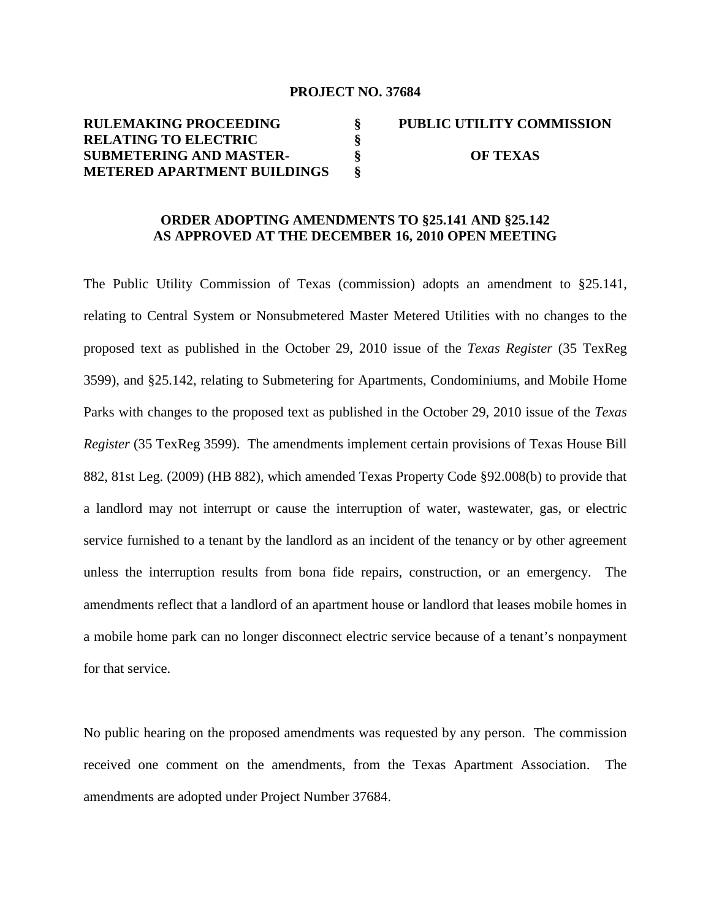#### **PROJECT NO. 37684**

#### **RULEMAKING PROCEEDING RELATING TO ELECTRIC SUBMETERING AND MASTER-METERED APARTMENT BUILDINGS § § § § PUBLIC UTILITY COMMISSION OF TEXAS**

# **ORDER ADOPTING AMENDMENTS TO §25.141 AND §25.142 AS APPROVED AT THE DECEMBER 16, 2010 OPEN MEETING**

The Public Utility Commission of Texas (commission) adopts an amendment to §25.141, relating to Central System or Nonsubmetered Master Metered Utilities with no changes to the proposed text as published in the October 29, 2010 issue of the *Texas Register* (35 TexReg 3599), and §25.142, relating to Submetering for Apartments, Condominiums, and Mobile Home Parks with changes to the proposed text as published in the October 29, 2010 issue of the *Texas Register* (35 TexReg 3599). The amendments implement certain provisions of Texas House Bill 882, 81st Leg. (2009) (HB 882), which amended Texas Property Code §92.008(b) to provide that a landlord may not interrupt or cause the interruption of water, wastewater, gas, or electric service furnished to a tenant by the landlord as an incident of the tenancy or by other agreement unless the interruption results from bona fide repairs, construction, or an emergency. The amendments reflect that a landlord of an apartment house or landlord that leases mobile homes in a mobile home park can no longer disconnect electric service because of a tenant's nonpayment for that service.

No public hearing on the proposed amendments was requested by any person. The commission received one comment on the amendments, from the Texas Apartment Association. The amendments are adopted under Project Number 37684.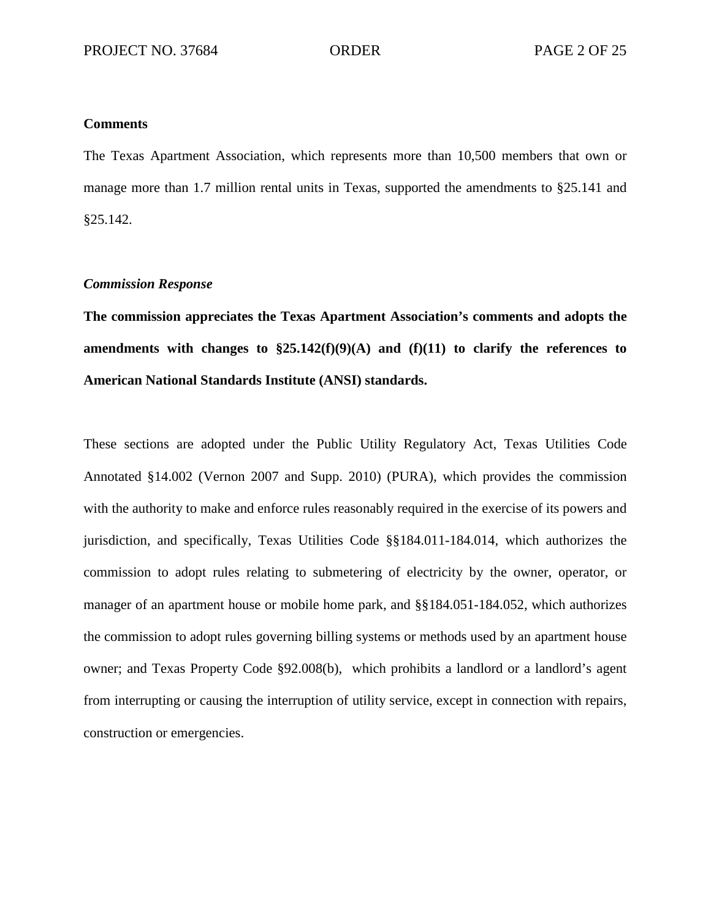#### **Comments**

The Texas Apartment Association, which represents more than 10,500 members that own or manage more than 1.7 million rental units in Texas, supported the amendments to §25.141 and §25.142.

## *Commission Response*

**The commission appreciates the Texas Apartment Association's comments and adopts the amendments with changes to §25.142(f)(9)(A) and (f)(11) to clarify the references to American National Standards Institute (ANSI) standards.**

These sections are adopted under the Public Utility Regulatory Act, Texas Utilities Code Annotated §14.002 (Vernon 2007 and Supp. 2010) (PURA), which provides the commission with the authority to make and enforce rules reasonably required in the exercise of its powers and jurisdiction, and specifically, Texas Utilities Code §§184.011-184.014, which authorizes the commission to adopt rules relating to submetering of electricity by the owner, operator, or manager of an apartment house or mobile home park, and §§184.051-184.052, which authorizes the commission to adopt rules governing billing systems or methods used by an apartment house owner; and Texas Property Code §92.008(b), which prohibits a landlord or a landlord's agent from interrupting or causing the interruption of utility service, except in connection with repairs, construction or emergencies.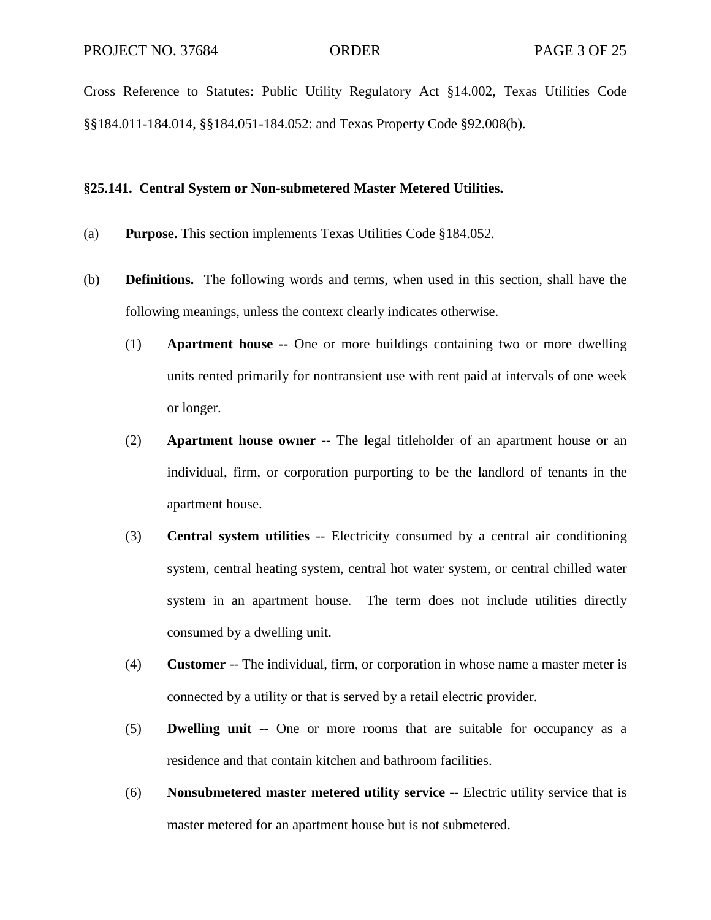Cross Reference to Statutes: Public Utility Regulatory Act §14.002, Texas Utilities Code §§184.011-184.014, §§184.051-184.052: and Texas Property Code §92.008(b).

#### **§25.141. Central System or Non-submetered Master Metered Utilities.**

- (a) **Purpose.** This section implements Texas Utilities Code §184.052.
- (b) **Definitions.** The following words and terms, when used in this section, shall have the following meanings, unless the context clearly indicates otherwise.
	- (1) **Apartment house --** One or more buildings containing two or more dwelling units rented primarily for nontransient use with rent paid at intervals of one week or longer.
	- (2) **Apartment house owner --** The legal titleholder of an apartment house or an individual, firm, or corporation purporting to be the landlord of tenants in the apartment house.
	- (3) **Central system utilities** -- Electricity consumed by a central air conditioning system, central heating system, central hot water system, or central chilled water system in an apartment house. The term does not include utilities directly consumed by a dwelling unit.
	- (4) **Customer** -- The individual, firm, or corporation in whose name a master meter is connected by a utility or that is served by a retail electric provider.
	- (5) **Dwelling unit** -- One or more rooms that are suitable for occupancy as a residence and that contain kitchen and bathroom facilities.
	- (6) **Nonsubmetered master metered utility service** -- Electric utility service that is master metered for an apartment house but is not submetered.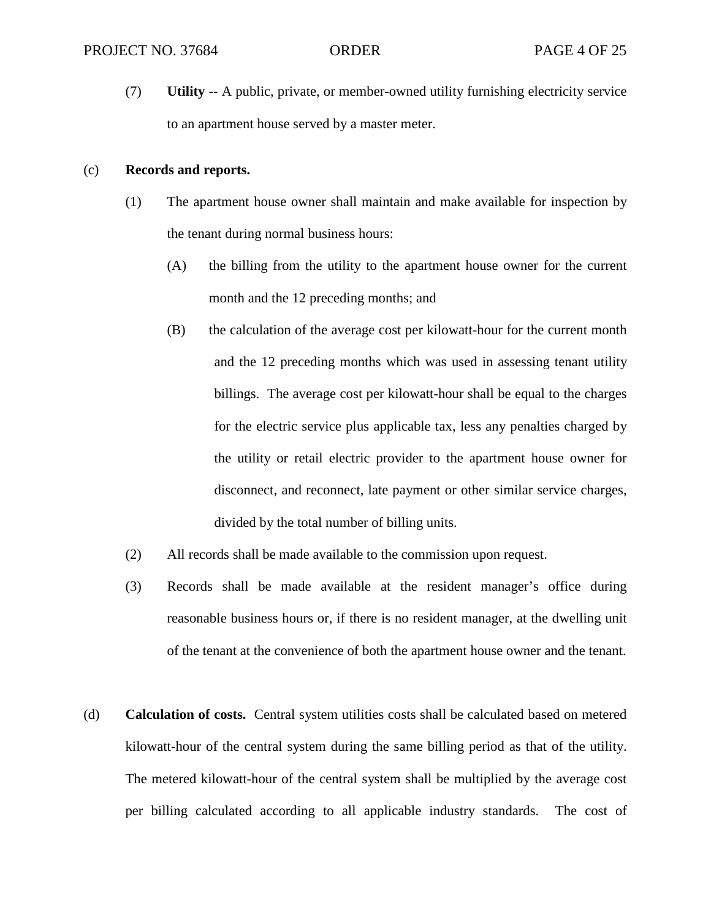(7) **Utility** -- A public, private, or member-owned utility furnishing electricity service to an apartment house served by a master meter.

### (c) **Records and reports.**

- (1) The apartment house owner shall maintain and make available for inspection by the tenant during normal business hours:
	- (A) the billing from the utility to the apartment house owner for the current month and the 12 preceding months; and
	- (B) the calculation of the average cost per kilowatt-hour for the current month and the 12 preceding months which was used in assessing tenant utility billings. The average cost per kilowatt-hour shall be equal to the charges for the electric service plus applicable tax, less any penalties charged by the utility or retail electric provider to the apartment house owner for disconnect, and reconnect, late payment or other similar service charges, divided by the total number of billing units.
- (2) All records shall be made available to the commission upon request.
- (3) Records shall be made available at the resident manager's office during reasonable business hours or, if there is no resident manager, at the dwelling unit of the tenant at the convenience of both the apartment house owner and the tenant.
- (d) **Calculation of costs.** Central system utilities costs shall be calculated based on metered kilowatt-hour of the central system during the same billing period as that of the utility. The metered kilowatt-hour of the central system shall be multiplied by the average cost per billing calculated according to all applicable industry standards. The cost of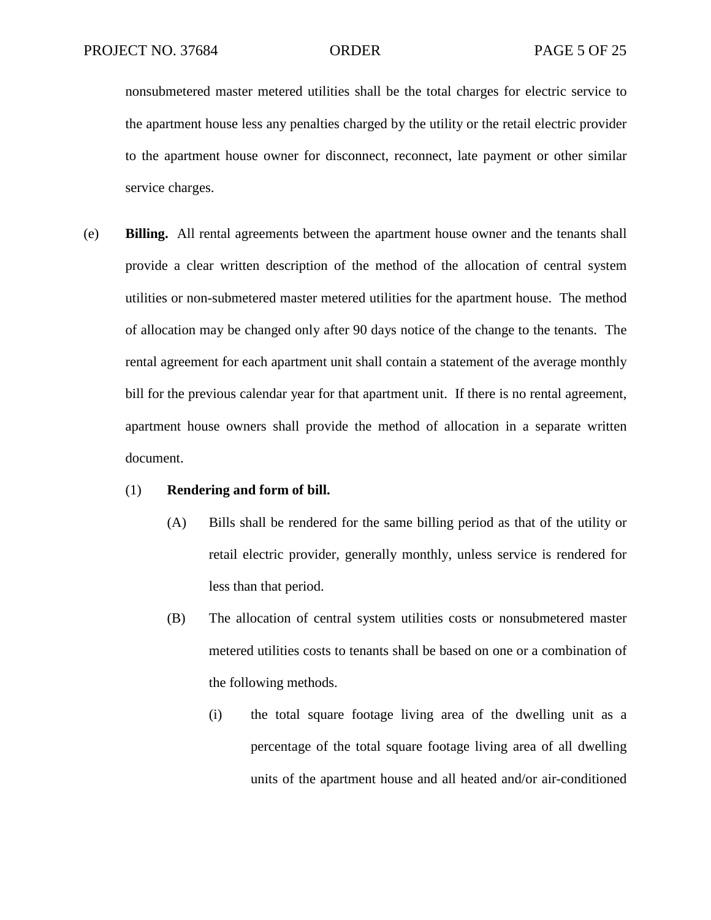nonsubmetered master metered utilities shall be the total charges for electric service to the apartment house less any penalties charged by the utility or the retail electric provider to the apartment house owner for disconnect, reconnect, late payment or other similar service charges.

(e) **Billing.** All rental agreements between the apartment house owner and the tenants shall provide a clear written description of the method of the allocation of central system utilities or non-submetered master metered utilities for the apartment house. The method of allocation may be changed only after 90 days notice of the change to the tenants. The rental agreement for each apartment unit shall contain a statement of the average monthly bill for the previous calendar year for that apartment unit. If there is no rental agreement, apartment house owners shall provide the method of allocation in a separate written document.

#### (1) **Rendering and form of bill.**

- (A) Bills shall be rendered for the same billing period as that of the utility or retail electric provider, generally monthly, unless service is rendered for less than that period.
- (B) The allocation of central system utilities costs or nonsubmetered master metered utilities costs to tenants shall be based on one or a combination of the following methods.
	- (i) the total square footage living area of the dwelling unit as a percentage of the total square footage living area of all dwelling units of the apartment house and all heated and/or air-conditioned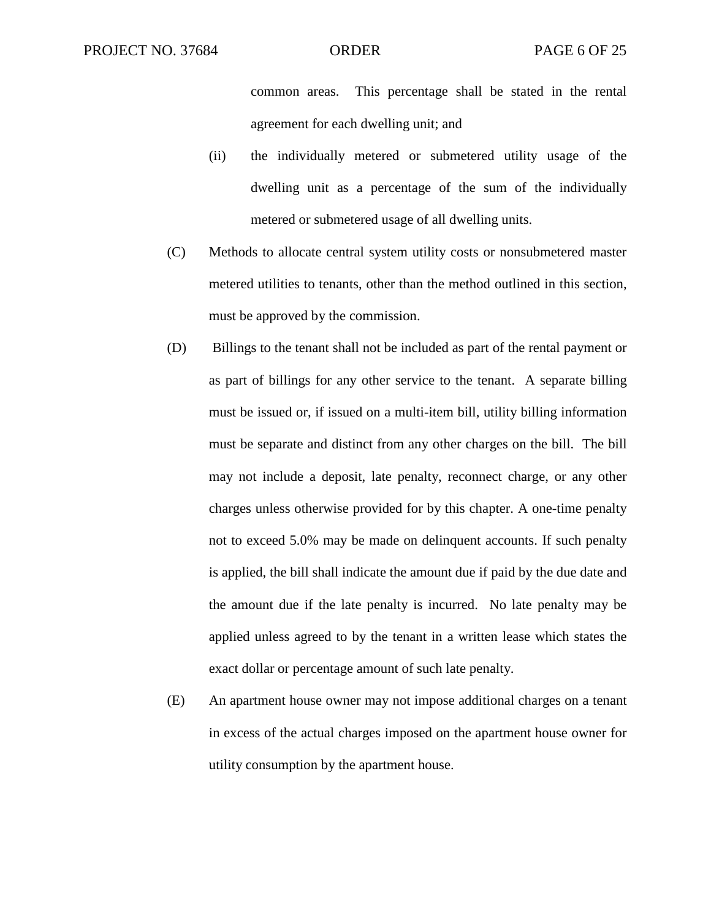common areas. This percentage shall be stated in the rental agreement for each dwelling unit; and

- (ii) the individually metered or submetered utility usage of the dwelling unit as a percentage of the sum of the individually metered or submetered usage of all dwelling units.
- (C) Methods to allocate central system utility costs or nonsubmetered master metered utilities to tenants, other than the method outlined in this section, must be approved by the commission.
- (D) Billings to the tenant shall not be included as part of the rental payment or as part of billings for any other service to the tenant. A separate billing must be issued or, if issued on a multi-item bill, utility billing information must be separate and distinct from any other charges on the bill. The bill may not include a deposit, late penalty, reconnect charge, or any other charges unless otherwise provided for by this chapter. A one-time penalty not to exceed 5.0% may be made on delinquent accounts. If such penalty is applied, the bill shall indicate the amount due if paid by the due date and the amount due if the late penalty is incurred. No late penalty may be applied unless agreed to by the tenant in a written lease which states the exact dollar or percentage amount of such late penalty.
- (E) An apartment house owner may not impose additional charges on a tenant in excess of the actual charges imposed on the apartment house owner for utility consumption by the apartment house.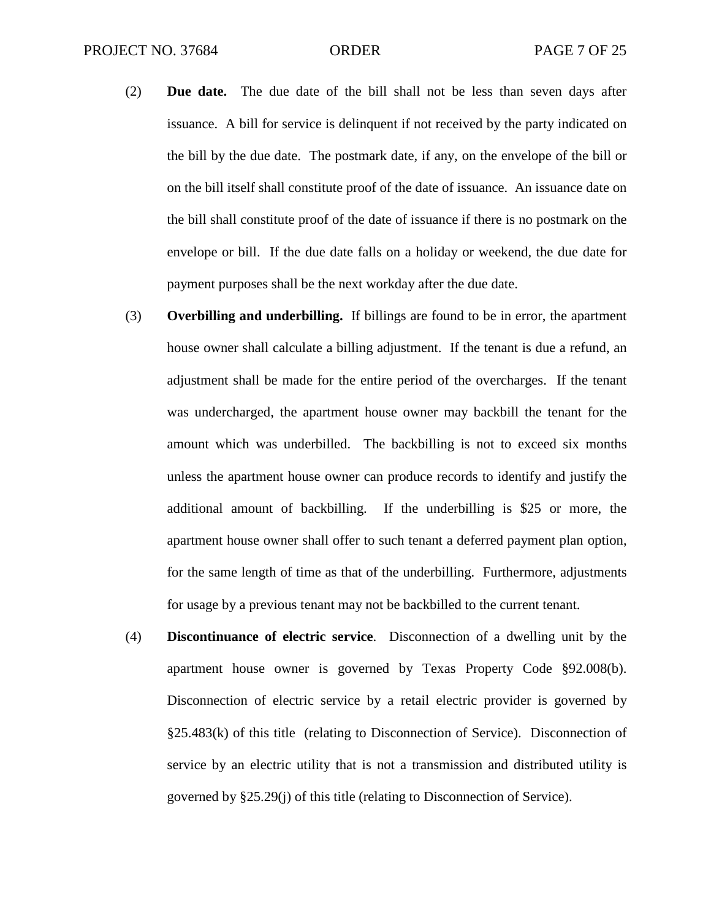- (2) **Due date.** The due date of the bill shall not be less than seven days after issuance. A bill for service is delinquent if not received by the party indicated on the bill by the due date. The postmark date, if any, on the envelope of the bill or on the bill itself shall constitute proof of the date of issuance. An issuance date on the bill shall constitute proof of the date of issuance if there is no postmark on the envelope or bill. If the due date falls on a holiday or weekend, the due date for payment purposes shall be the next workday after the due date.
- (3) **Overbilling and underbilling.** If billings are found to be in error, the apartment house owner shall calculate a billing adjustment. If the tenant is due a refund, an adjustment shall be made for the entire period of the overcharges. If the tenant was undercharged, the apartment house owner may backbill the tenant for the amount which was underbilled. The backbilling is not to exceed six months unless the apartment house owner can produce records to identify and justify the additional amount of backbilling. If the underbilling is \$25 or more, the apartment house owner shall offer to such tenant a deferred payment plan option, for the same length of time as that of the underbilling. Furthermore, adjustments for usage by a previous tenant may not be backbilled to the current tenant.
- (4) **Discontinuance of electric service**. Disconnection of a dwelling unit by the apartment house owner is governed by Texas Property Code §92.008(b). Disconnection of electric service by a retail electric provider is governed by §25.483(k) of this title (relating to Disconnection of Service). Disconnection of service by an electric utility that is not a transmission and distributed utility is governed by §25.29(j) of this title (relating to Disconnection of Service).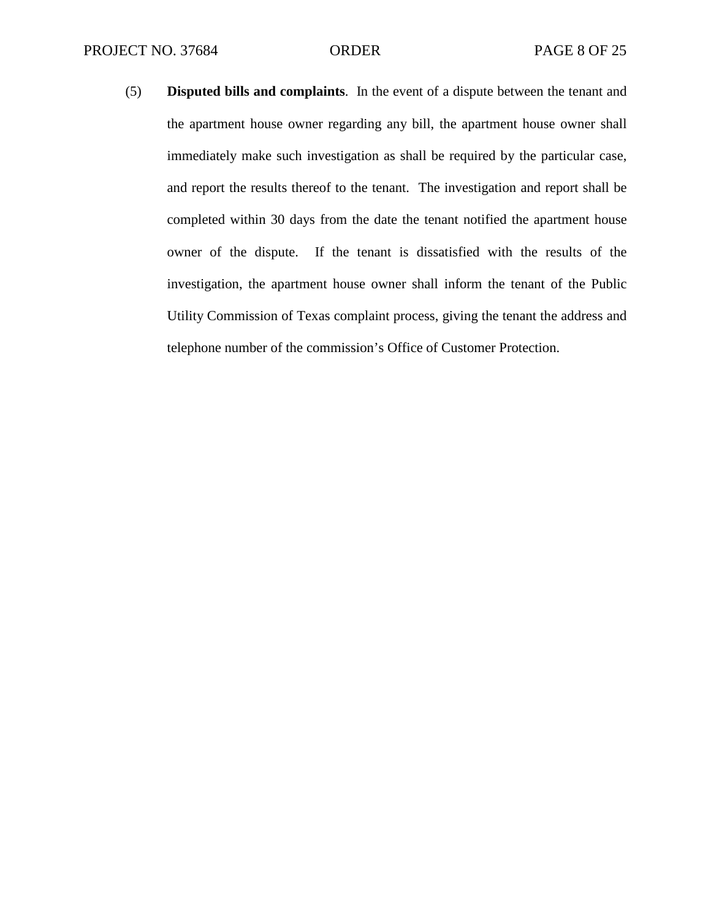(5) **Disputed bills and complaints**. In the event of a dispute between the tenant and the apartment house owner regarding any bill, the apartment house owner shall immediately make such investigation as shall be required by the particular case, and report the results thereof to the tenant. The investigation and report shall be completed within 30 days from the date the tenant notified the apartment house owner of the dispute. If the tenant is dissatisfied with the results of the investigation, the apartment house owner shall inform the tenant of the Public Utility Commission of Texas complaint process, giving the tenant the address and telephone number of the commission's Office of Customer Protection.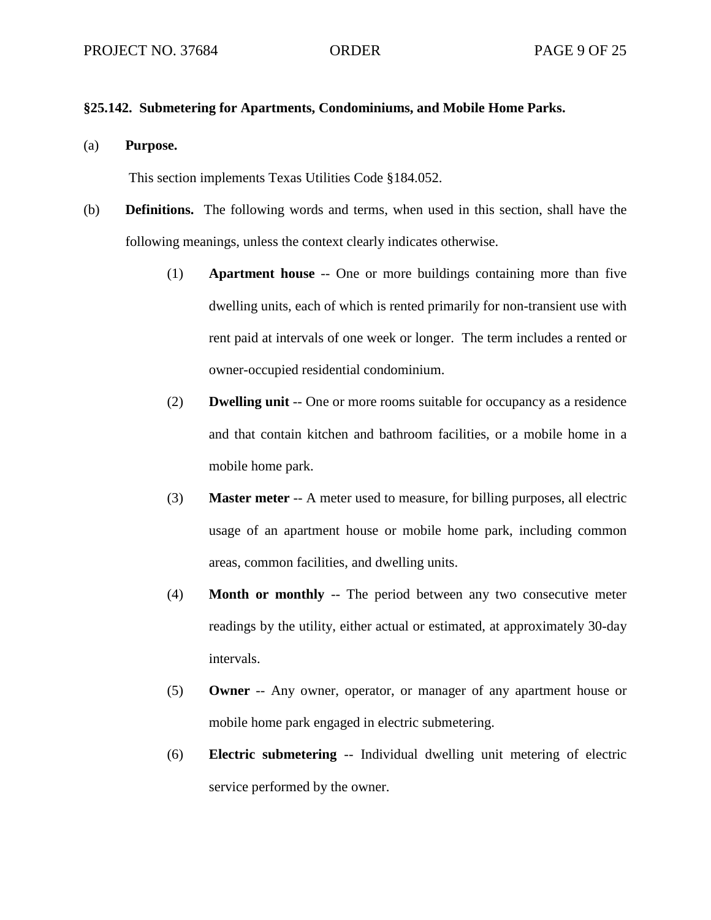### **§25.142. Submetering for Apartments, Condominiums, and Mobile Home Parks.**

(a) **Purpose.**

This section implements Texas Utilities Code §184.052.

- (b) **Definitions.** The following words and terms, when used in this section, shall have the following meanings, unless the context clearly indicates otherwise.
	- (1) **Apartment house** -- One or more buildings containing more than five dwelling units, each of which is rented primarily for non-transient use with rent paid at intervals of one week or longer. The term includes a rented or owner-occupied residential condominium.
	- (2) **Dwelling unit** -- One or more rooms suitable for occupancy as a residence and that contain kitchen and bathroom facilities, or a mobile home in a mobile home park.
	- (3) **Master meter** -- A meter used to measure, for billing purposes, all electric usage of an apartment house or mobile home park, including common areas, common facilities, and dwelling units.
	- (4) **Month or monthly** -- The period between any two consecutive meter readings by the utility, either actual or estimated, at approximately 30-day intervals.
	- (5) **Owner** -- Any owner, operator, or manager of any apartment house or mobile home park engaged in electric submetering.
	- (6) **Electric submetering** -- Individual dwelling unit metering of electric service performed by the owner.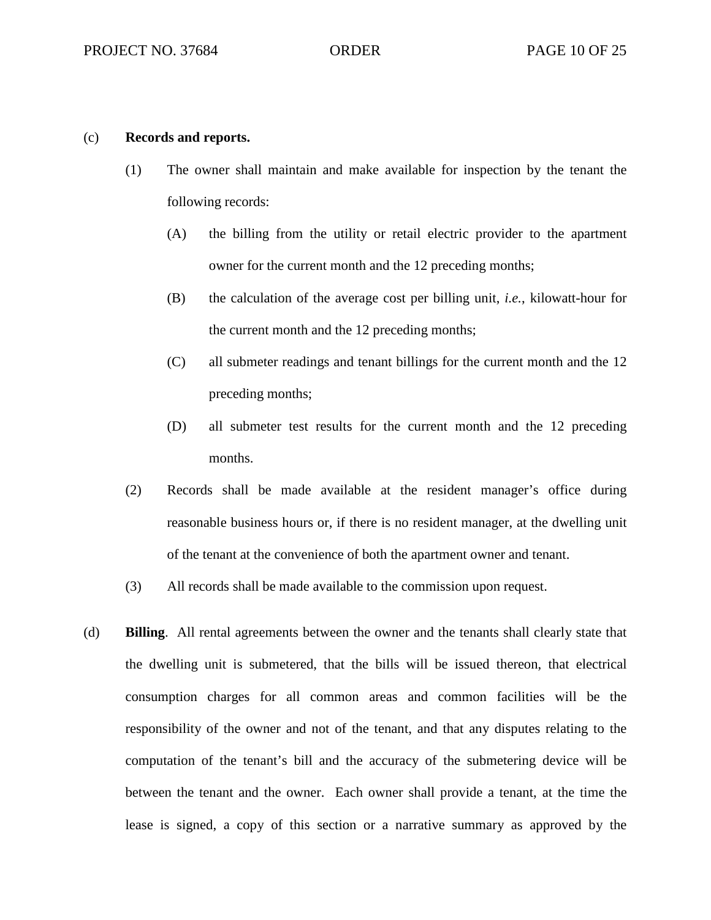#### (c) **Records and reports.**

- (1) The owner shall maintain and make available for inspection by the tenant the following records:
	- (A) the billing from the utility or retail electric provider to the apartment owner for the current month and the 12 preceding months;
	- (B) the calculation of the average cost per billing unit, *i.e.*, kilowatt-hour for the current month and the 12 preceding months;
	- (C) all submeter readings and tenant billings for the current month and the 12 preceding months;
	- (D) all submeter test results for the current month and the 12 preceding months.
- (2) Records shall be made available at the resident manager's office during reasonable business hours or, if there is no resident manager, at the dwelling unit of the tenant at the convenience of both the apartment owner and tenant.
- (3) All records shall be made available to the commission upon request.
- (d) **Billing**. All rental agreements between the owner and the tenants shall clearly state that the dwelling unit is submetered, that the bills will be issued thereon, that electrical consumption charges for all common areas and common facilities will be the responsibility of the owner and not of the tenant, and that any disputes relating to the computation of the tenant's bill and the accuracy of the submetering device will be between the tenant and the owner. Each owner shall provide a tenant, at the time the lease is signed, a copy of this section or a narrative summary as approved by the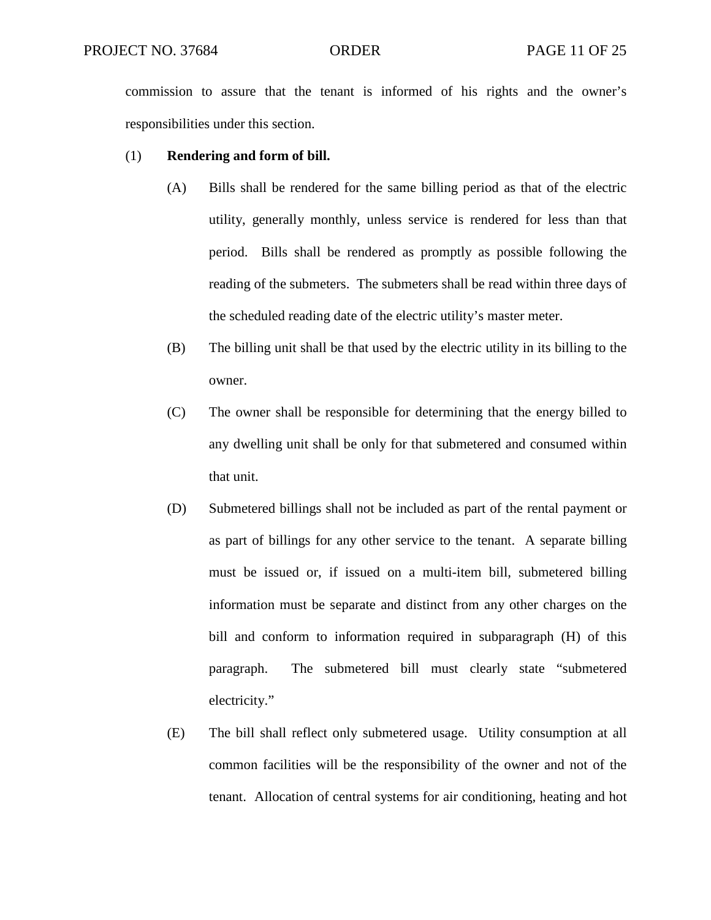commission to assure that the tenant is informed of his rights and the owner's responsibilities under this section.

#### (1) **Rendering and form of bill.**

- (A) Bills shall be rendered for the same billing period as that of the electric utility, generally monthly, unless service is rendered for less than that period. Bills shall be rendered as promptly as possible following the reading of the submeters. The submeters shall be read within three days of the scheduled reading date of the electric utility's master meter.
- (B) The billing unit shall be that used by the electric utility in its billing to the owner.
- (C) The owner shall be responsible for determining that the energy billed to any dwelling unit shall be only for that submetered and consumed within that unit.
- (D) Submetered billings shall not be included as part of the rental payment or as part of billings for any other service to the tenant. A separate billing must be issued or, if issued on a multi-item bill, submetered billing information must be separate and distinct from any other charges on the bill and conform to information required in subparagraph (H) of this paragraph. The submetered bill must clearly state "submetered electricity."
- (E) The bill shall reflect only submetered usage. Utility consumption at all common facilities will be the responsibility of the owner and not of the tenant. Allocation of central systems for air conditioning, heating and hot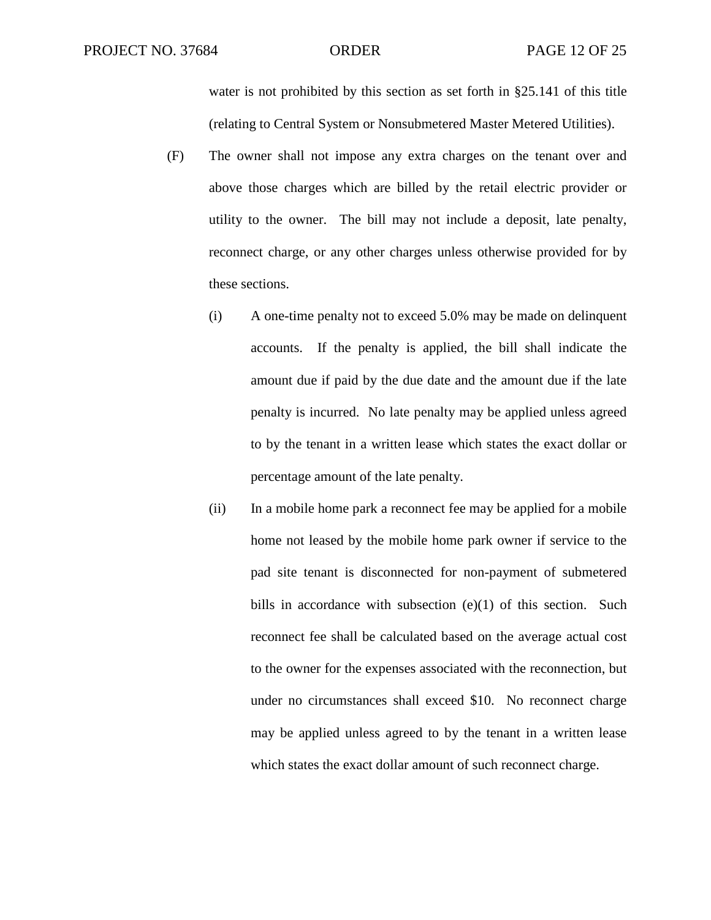water is not prohibited by this section as set forth in §25.141 of this title (relating to Central System or Nonsubmetered Master Metered Utilities).

- (F) The owner shall not impose any extra charges on the tenant over and above those charges which are billed by the retail electric provider or utility to the owner. The bill may not include a deposit, late penalty, reconnect charge, or any other charges unless otherwise provided for by these sections.
	- (i) A one-time penalty not to exceed 5.0% may be made on delinquent accounts. If the penalty is applied, the bill shall indicate the amount due if paid by the due date and the amount due if the late penalty is incurred. No late penalty may be applied unless agreed to by the tenant in a written lease which states the exact dollar or percentage amount of the late penalty.
	- (ii) In a mobile home park a reconnect fee may be applied for a mobile home not leased by the mobile home park owner if service to the pad site tenant is disconnected for non-payment of submetered bills in accordance with subsection (e)(1) of this section. Such reconnect fee shall be calculated based on the average actual cost to the owner for the expenses associated with the reconnection, but under no circumstances shall exceed \$10. No reconnect charge may be applied unless agreed to by the tenant in a written lease which states the exact dollar amount of such reconnect charge.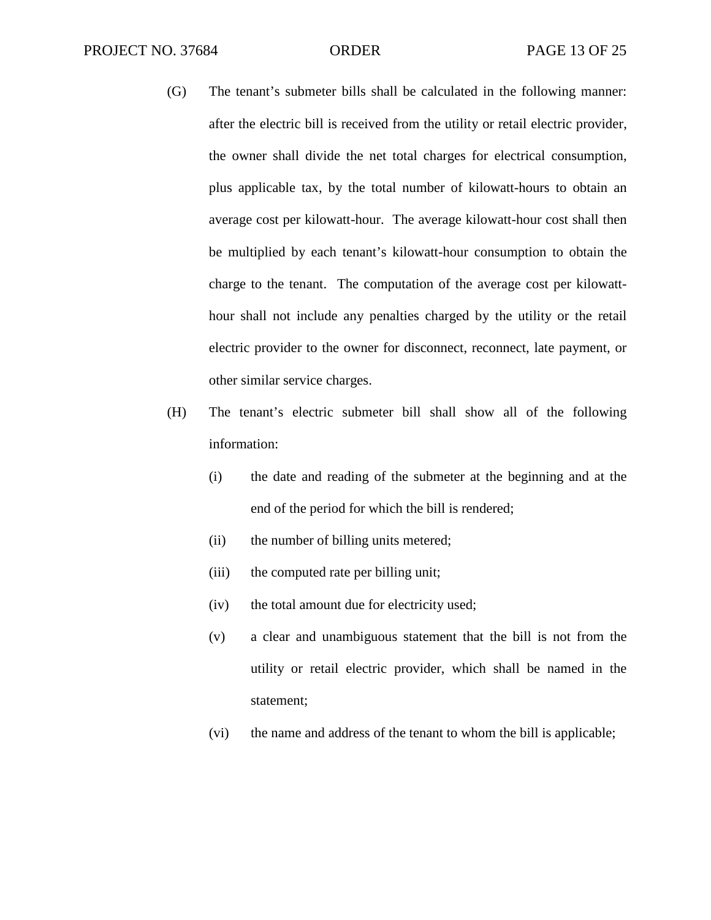- (G) The tenant's submeter bills shall be calculated in the following manner: after the electric bill is received from the utility or retail electric provider, the owner shall divide the net total charges for electrical consumption, plus applicable tax, by the total number of kilowatt-hours to obtain an average cost per kilowatt-hour. The average kilowatt-hour cost shall then be multiplied by each tenant's kilowatt-hour consumption to obtain the charge to the tenant. The computation of the average cost per kilowatthour shall not include any penalties charged by the utility or the retail electric provider to the owner for disconnect, reconnect, late payment, or other similar service charges.
- (H) The tenant's electric submeter bill shall show all of the following information:
	- (i) the date and reading of the submeter at the beginning and at the end of the period for which the bill is rendered;
	- (ii) the number of billing units metered;
	- (iii) the computed rate per billing unit;
	- (iv) the total amount due for electricity used;
	- (v) a clear and unambiguous statement that the bill is not from the utility or retail electric provider, which shall be named in the statement;
	- (vi) the name and address of the tenant to whom the bill is applicable;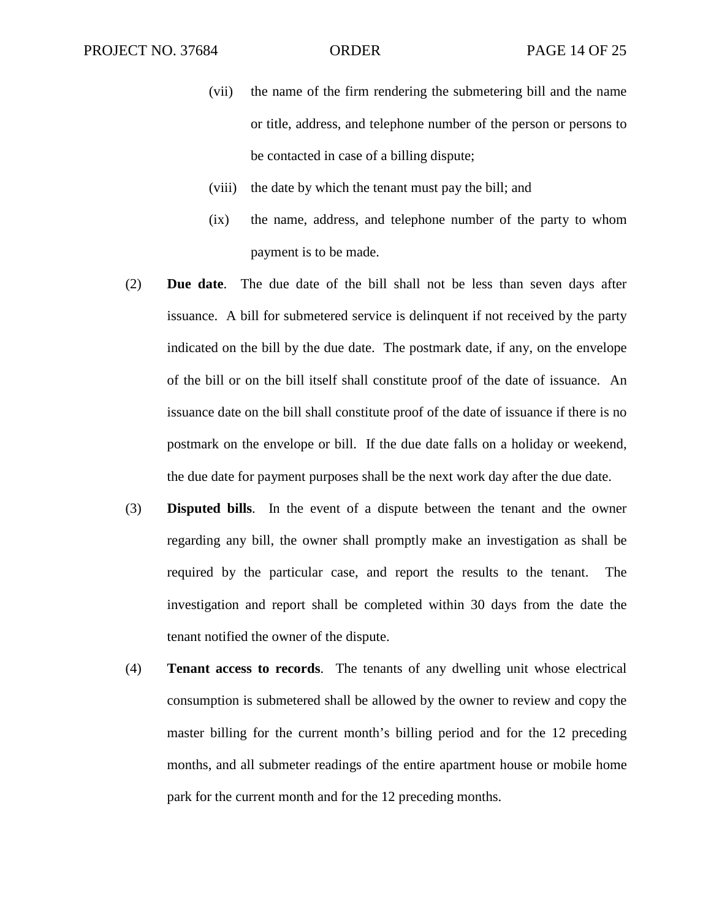- (vii) the name of the firm rendering the submetering bill and the name or title, address, and telephone number of the person or persons to be contacted in case of a billing dispute;
- (viii) the date by which the tenant must pay the bill; and
- (ix) the name, address, and telephone number of the party to whom payment is to be made.
- (2) **Due date**. The due date of the bill shall not be less than seven days after issuance. A bill for submetered service is delinquent if not received by the party indicated on the bill by the due date. The postmark date, if any, on the envelope of the bill or on the bill itself shall constitute proof of the date of issuance. An issuance date on the bill shall constitute proof of the date of issuance if there is no postmark on the envelope or bill. If the due date falls on a holiday or weekend, the due date for payment purposes shall be the next work day after the due date.
- (3) **Disputed bills**. In the event of a dispute between the tenant and the owner regarding any bill, the owner shall promptly make an investigation as shall be required by the particular case, and report the results to the tenant. The investigation and report shall be completed within 30 days from the date the tenant notified the owner of the dispute.
- (4) **Tenant access to records**. The tenants of any dwelling unit whose electrical consumption is submetered shall be allowed by the owner to review and copy the master billing for the current month's billing period and for the 12 preceding months, and all submeter readings of the entire apartment house or mobile home park for the current month and for the 12 preceding months.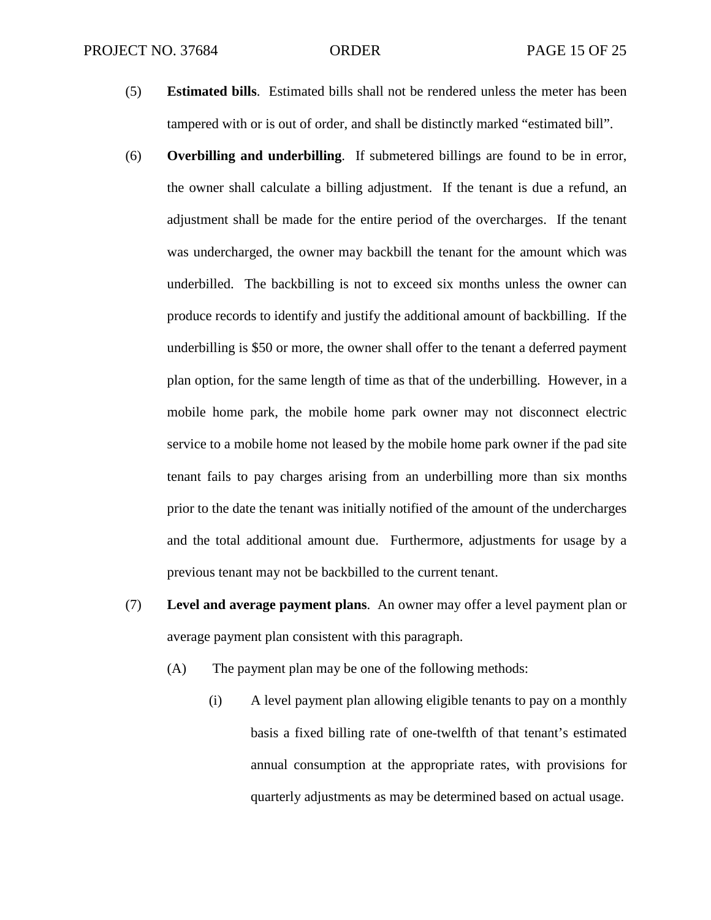- (5) **Estimated bills**. Estimated bills shall not be rendered unless the meter has been tampered with or is out of order, and shall be distinctly marked "estimated bill".
- (6) **Overbilling and underbilling**. If submetered billings are found to be in error, the owner shall calculate a billing adjustment. If the tenant is due a refund, an adjustment shall be made for the entire period of the overcharges. If the tenant was undercharged, the owner may backbill the tenant for the amount which was underbilled. The backbilling is not to exceed six months unless the owner can produce records to identify and justify the additional amount of backbilling. If the underbilling is \$50 or more, the owner shall offer to the tenant a deferred payment plan option, for the same length of time as that of the underbilling. However, in a mobile home park, the mobile home park owner may not disconnect electric service to a mobile home not leased by the mobile home park owner if the pad site tenant fails to pay charges arising from an underbilling more than six months prior to the date the tenant was initially notified of the amount of the undercharges and the total additional amount due. Furthermore, adjustments for usage by a previous tenant may not be backbilled to the current tenant.
- (7) **Level and average payment plans**. An owner may offer a level payment plan or average payment plan consistent with this paragraph.
	- (A) The payment plan may be one of the following methods:
		- (i) A level payment plan allowing eligible tenants to pay on a monthly basis a fixed billing rate of one-twelfth of that tenant's estimated annual consumption at the appropriate rates, with provisions for quarterly adjustments as may be determined based on actual usage.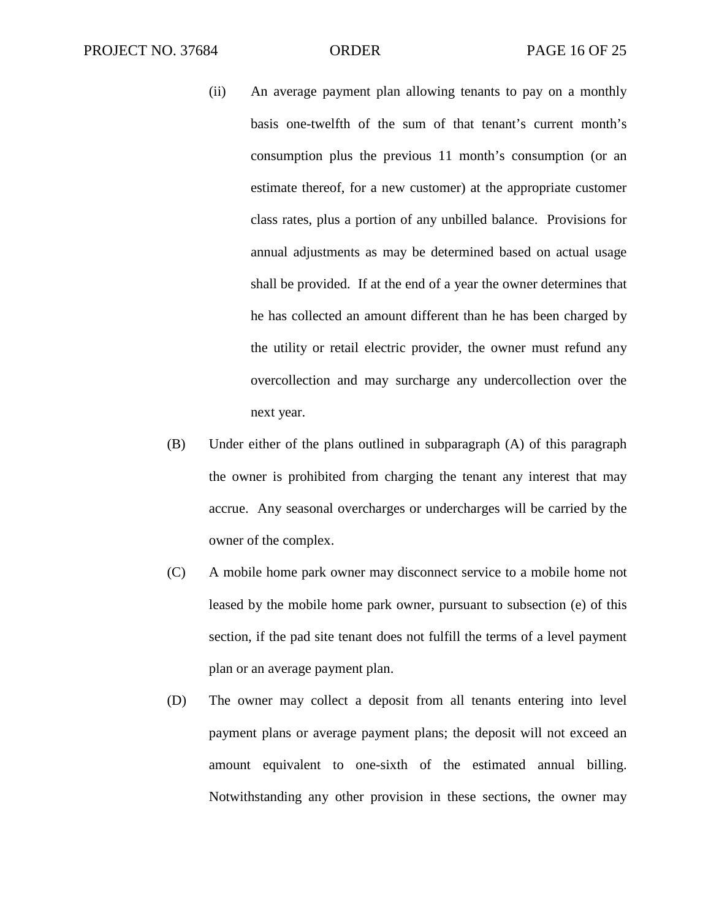- (ii) An average payment plan allowing tenants to pay on a monthly basis one-twelfth of the sum of that tenant's current month's consumption plus the previous 11 month's consumption (or an estimate thereof, for a new customer) at the appropriate customer class rates, plus a portion of any unbilled balance. Provisions for annual adjustments as may be determined based on actual usage shall be provided. If at the end of a year the owner determines that he has collected an amount different than he has been charged by the utility or retail electric provider, the owner must refund any overcollection and may surcharge any undercollection over the next year.
- (B) Under either of the plans outlined in subparagraph (A) of this paragraph the owner is prohibited from charging the tenant any interest that may accrue. Any seasonal overcharges or undercharges will be carried by the owner of the complex.
- (C) A mobile home park owner may disconnect service to a mobile home not leased by the mobile home park owner, pursuant to subsection (e) of this section, if the pad site tenant does not fulfill the terms of a level payment plan or an average payment plan.
- (D) The owner may collect a deposit from all tenants entering into level payment plans or average payment plans; the deposit will not exceed an amount equivalent to one-sixth of the estimated annual billing. Notwithstanding any other provision in these sections, the owner may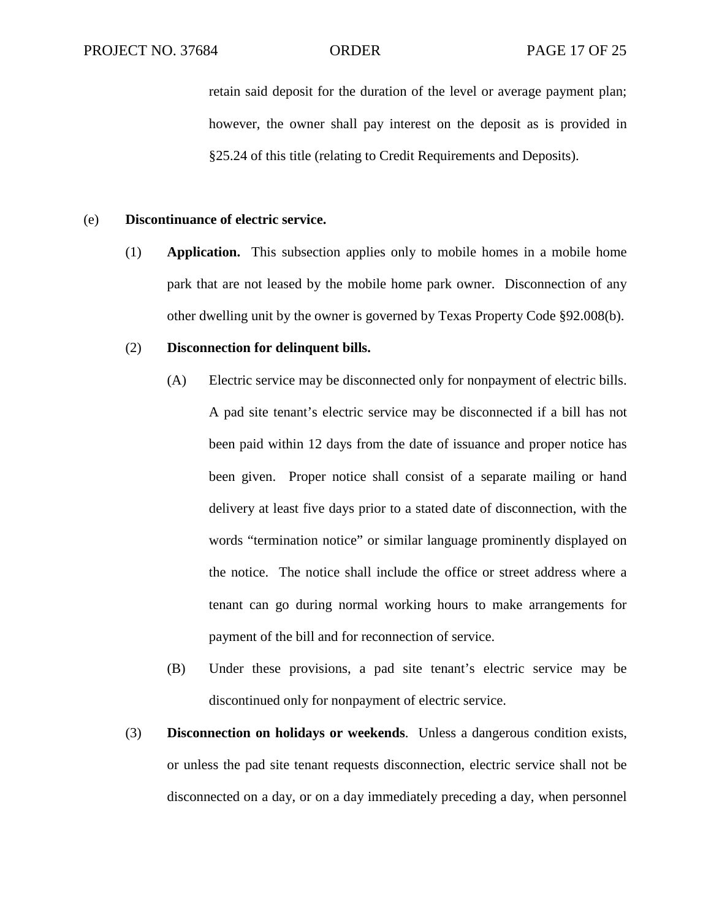retain said deposit for the duration of the level or average payment plan; however, the owner shall pay interest on the deposit as is provided in §25.24 of this title (relating to Credit Requirements and Deposits).

#### (e) **Discontinuance of electric service.**

(1) **Application.** This subsection applies only to mobile homes in a mobile home park that are not leased by the mobile home park owner. Disconnection of any other dwelling unit by the owner is governed by Texas Property Code §92.008(b).

#### (2) **Disconnection for delinquent bills.**

- (A) Electric service may be disconnected only for nonpayment of electric bills. A pad site tenant's electric service may be disconnected if a bill has not been paid within 12 days from the date of issuance and proper notice has been given. Proper notice shall consist of a separate mailing or hand delivery at least five days prior to a stated date of disconnection, with the words "termination notice" or similar language prominently displayed on the notice. The notice shall include the office or street address where a tenant can go during normal working hours to make arrangements for payment of the bill and for reconnection of service.
- (B) Under these provisions, a pad site tenant's electric service may be discontinued only for nonpayment of electric service.
- (3) **Disconnection on holidays or weekends**. Unless a dangerous condition exists, or unless the pad site tenant requests disconnection, electric service shall not be disconnected on a day, or on a day immediately preceding a day, when personnel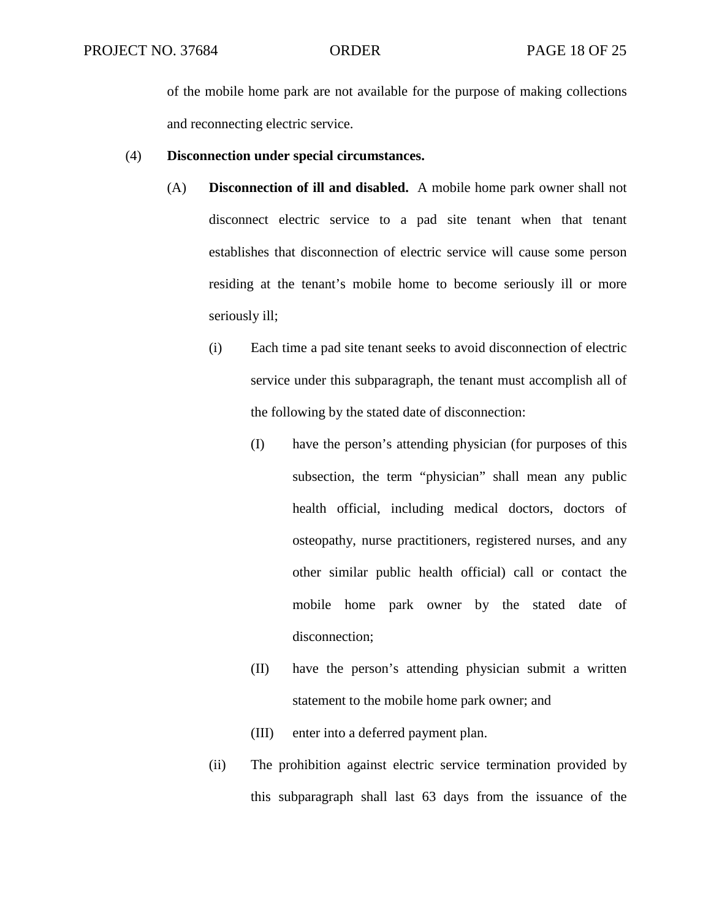of the mobile home park are not available for the purpose of making collections and reconnecting electric service.

#### (4) **Disconnection under special circumstances.**

- (A) **Disconnection of ill and disabled.** A mobile home park owner shall not disconnect electric service to a pad site tenant when that tenant establishes that disconnection of electric service will cause some person residing at the tenant's mobile home to become seriously ill or more seriously ill;
	- (i) Each time a pad site tenant seeks to avoid disconnection of electric service under this subparagraph, the tenant must accomplish all of the following by the stated date of disconnection:
		- (I) have the person's attending physician (for purposes of this subsection, the term "physician" shall mean any public health official, including medical doctors, doctors of osteopathy, nurse practitioners, registered nurses, and any other similar public health official) call or contact the mobile home park owner by the stated date of disconnection;
		- (II) have the person's attending physician submit a written statement to the mobile home park owner; and
		- (III) enter into a deferred payment plan.
	- (ii) The prohibition against electric service termination provided by this subparagraph shall last 63 days from the issuance of the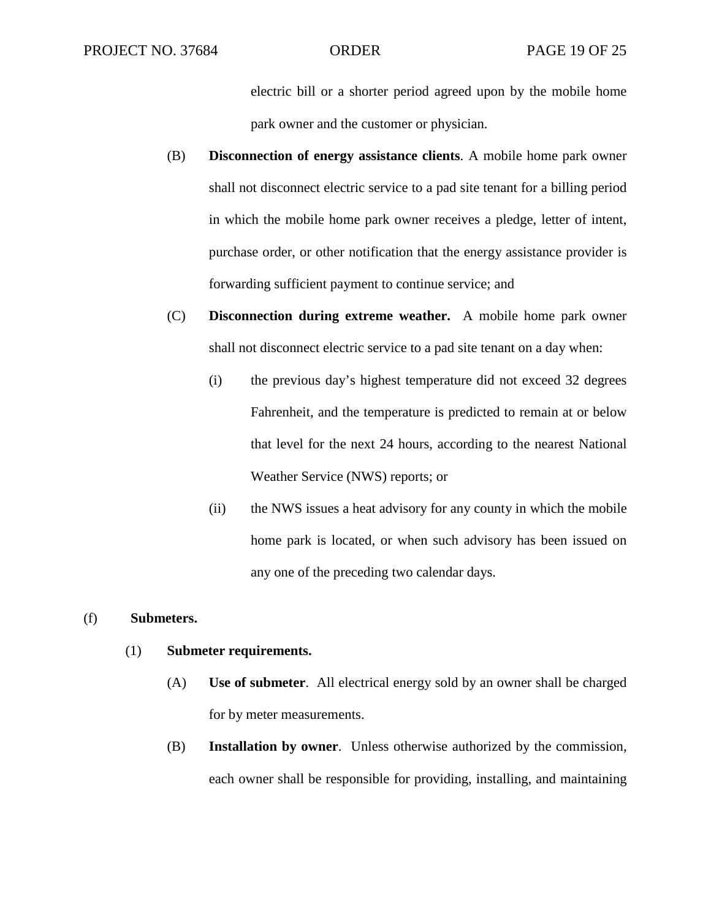electric bill or a shorter period agreed upon by the mobile home park owner and the customer or physician.

- (B) **Disconnection of energy assistance clients**. A mobile home park owner shall not disconnect electric service to a pad site tenant for a billing period in which the mobile home park owner receives a pledge, letter of intent, purchase order, or other notification that the energy assistance provider is forwarding sufficient payment to continue service; and
- (C) **Disconnection during extreme weather.** A mobile home park owner shall not disconnect electric service to a pad site tenant on a day when:
	- (i) the previous day's highest temperature did not exceed 32 degrees Fahrenheit, and the temperature is predicted to remain at or below that level for the next 24 hours, according to the nearest National Weather Service (NWS) reports; or
	- (ii) the NWS issues a heat advisory for any county in which the mobile home park is located, or when such advisory has been issued on any one of the preceding two calendar days.

### (f) **Submeters.**

### (1) **Submeter requirements.**

- (A) **Use of submeter**. All electrical energy sold by an owner shall be charged for by meter measurements.
- (B) **Installation by owner**. Unless otherwise authorized by the commission, each owner shall be responsible for providing, installing, and maintaining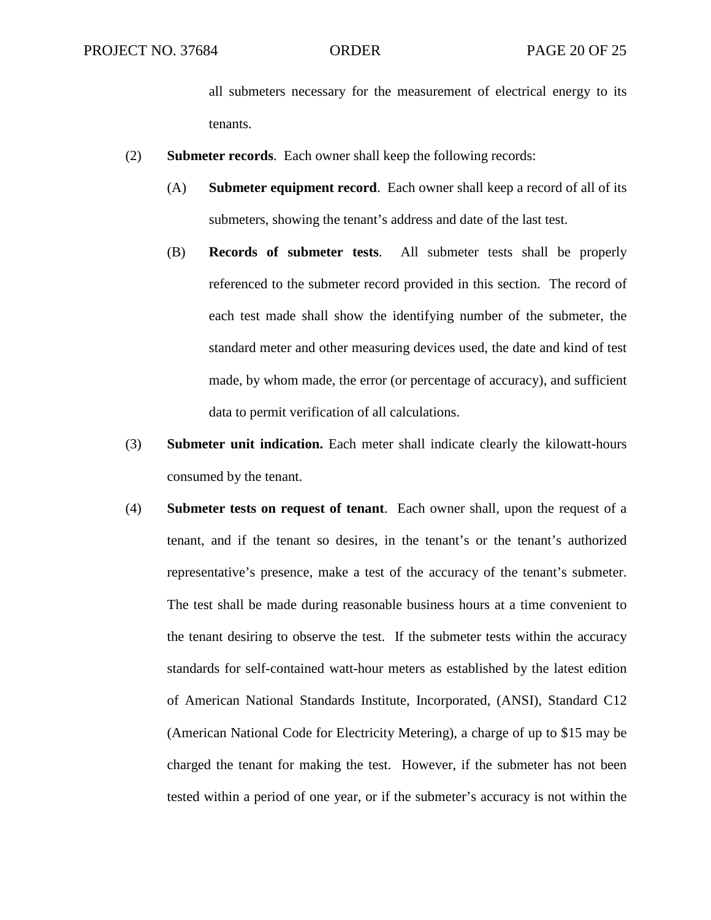all submeters necessary for the measurement of electrical energy to its tenants.

- (2) **Submeter records**. Each owner shall keep the following records:
	- (A) **Submeter equipment record**. Each owner shall keep a record of all of its submeters, showing the tenant's address and date of the last test.
	- (B) **Records of submeter tests**. All submeter tests shall be properly referenced to the submeter record provided in this section. The record of each test made shall show the identifying number of the submeter, the standard meter and other measuring devices used, the date and kind of test made, by whom made, the error (or percentage of accuracy), and sufficient data to permit verification of all calculations.
- (3) **Submeter unit indication.** Each meter shall indicate clearly the kilowatt-hours consumed by the tenant.
- (4) **Submeter tests on request of tenant**. Each owner shall, upon the request of a tenant, and if the tenant so desires, in the tenant's or the tenant's authorized representative's presence, make a test of the accuracy of the tenant's submeter. The test shall be made during reasonable business hours at a time convenient to the tenant desiring to observe the test. If the submeter tests within the accuracy standards for self-contained watt-hour meters as established by the latest edition of American National Standards Institute, Incorporated, (ANSI), Standard C12 (American National Code for Electricity Metering), a charge of up to \$15 may be charged the tenant for making the test. However, if the submeter has not been tested within a period of one year, or if the submeter's accuracy is not within the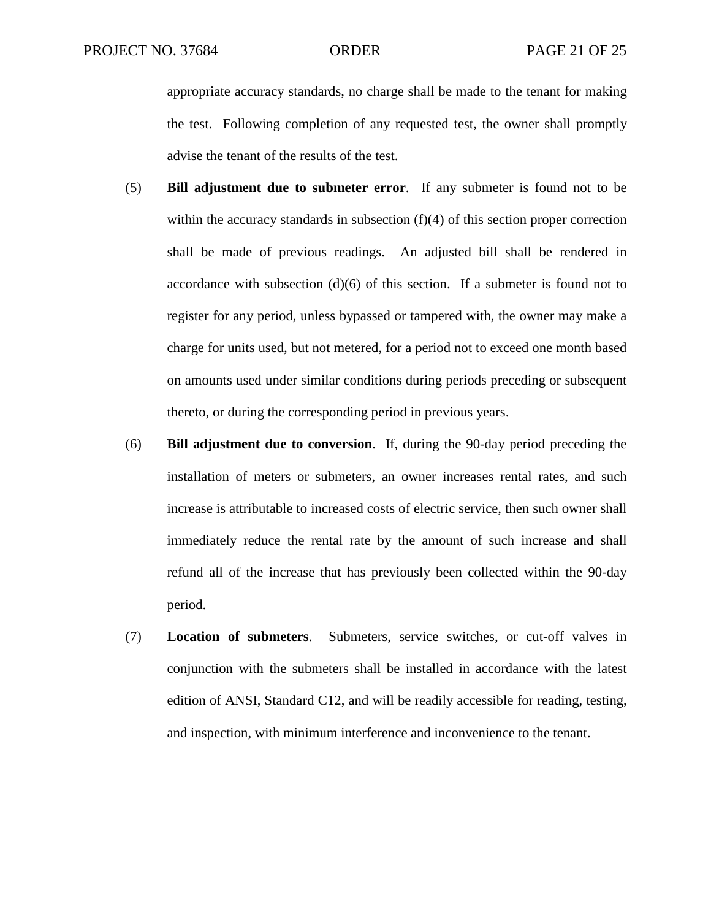appropriate accuracy standards, no charge shall be made to the tenant for making the test. Following completion of any requested test, the owner shall promptly advise the tenant of the results of the test.

- (5) **Bill adjustment due to submeter error**. If any submeter is found not to be within the accuracy standards in subsection  $(f)(4)$  of this section proper correction shall be made of previous readings. An adjusted bill shall be rendered in accordance with subsection  $(d)(6)$  of this section. If a submeter is found not to register for any period, unless bypassed or tampered with, the owner may make a charge for units used, but not metered, for a period not to exceed one month based on amounts used under similar conditions during periods preceding or subsequent thereto, or during the corresponding period in previous years.
- (6) **Bill adjustment due to conversion**. If, during the 90-day period preceding the installation of meters or submeters, an owner increases rental rates, and such increase is attributable to increased costs of electric service, then such owner shall immediately reduce the rental rate by the amount of such increase and shall refund all of the increase that has previously been collected within the 90-day period.
- (7) **Location of submeters**. Submeters, service switches, or cut-off valves in conjunction with the submeters shall be installed in accordance with the latest edition of ANSI, Standard C12, and will be readily accessible for reading, testing, and inspection, with minimum interference and inconvenience to the tenant.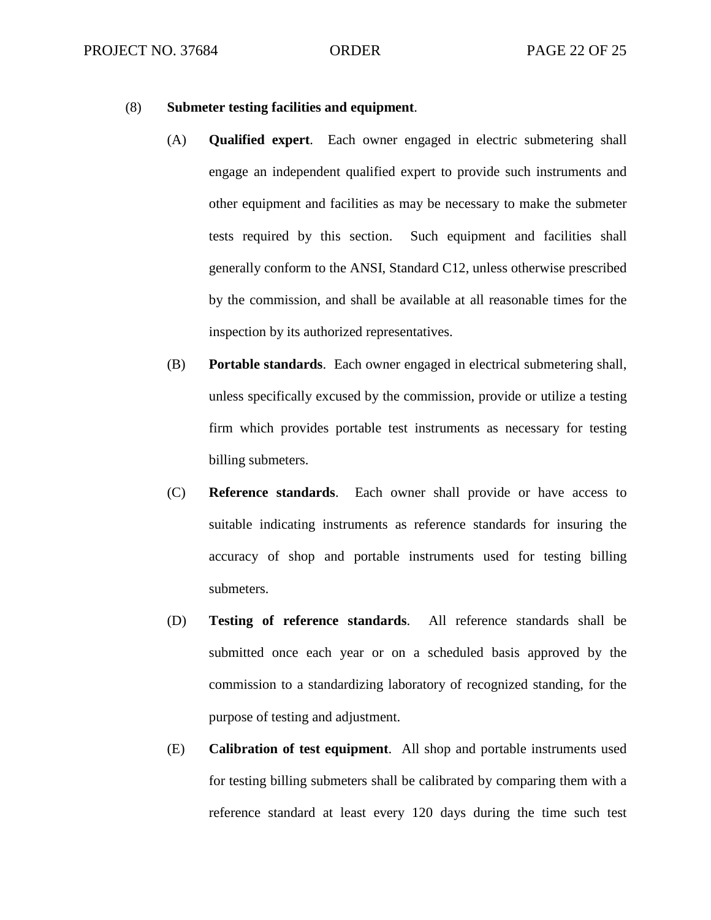#### (8) **Submeter testing facilities and equipment**.

- (A) **Qualified expert**. Each owner engaged in electric submetering shall engage an independent qualified expert to provide such instruments and other equipment and facilities as may be necessary to make the submeter tests required by this section. Such equipment and facilities shall generally conform to the ANSI, Standard C12, unless otherwise prescribed by the commission, and shall be available at all reasonable times for the inspection by its authorized representatives.
- (B) **Portable standards**. Each owner engaged in electrical submetering shall, unless specifically excused by the commission, provide or utilize a testing firm which provides portable test instruments as necessary for testing billing submeters.
- (C) **Reference standards**. Each owner shall provide or have access to suitable indicating instruments as reference standards for insuring the accuracy of shop and portable instruments used for testing billing submeters.
- (D) **Testing of reference standards**. All reference standards shall be submitted once each year or on a scheduled basis approved by the commission to a standardizing laboratory of recognized standing, for the purpose of testing and adjustment.
- (E) **Calibration of test equipment**. All shop and portable instruments used for testing billing submeters shall be calibrated by comparing them with a reference standard at least every 120 days during the time such test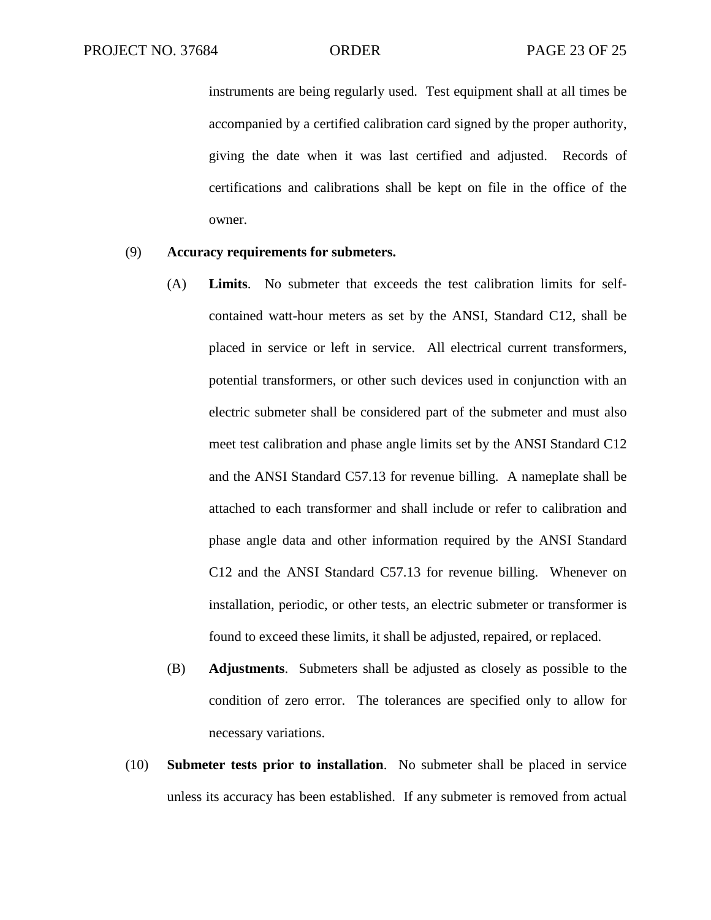instruments are being regularly used. Test equipment shall at all times be accompanied by a certified calibration card signed by the proper authority, giving the date when it was last certified and adjusted. Records of certifications and calibrations shall be kept on file in the office of the owner.

#### (9) **Accuracy requirements for submeters.**

- (A) **Limits**. No submeter that exceeds the test calibration limits for selfcontained watt-hour meters as set by the ANSI, Standard C12, shall be placed in service or left in service. All electrical current transformers, potential transformers, or other such devices used in conjunction with an electric submeter shall be considered part of the submeter and must also meet test calibration and phase angle limits set by the ANSI Standard C12 and the ANSI Standard C57.13 for revenue billing. A nameplate shall be attached to each transformer and shall include or refer to calibration and phase angle data and other information required by the ANSI Standard C12 and the ANSI Standard C57.13 for revenue billing. Whenever on installation, periodic, or other tests, an electric submeter or transformer is found to exceed these limits, it shall be adjusted, repaired, or replaced.
- (B) **Adjustments**. Submeters shall be adjusted as closely as possible to the condition of zero error. The tolerances are specified only to allow for necessary variations.
- (10) **Submeter tests prior to installation**. No submeter shall be placed in service unless its accuracy has been established. If any submeter is removed from actual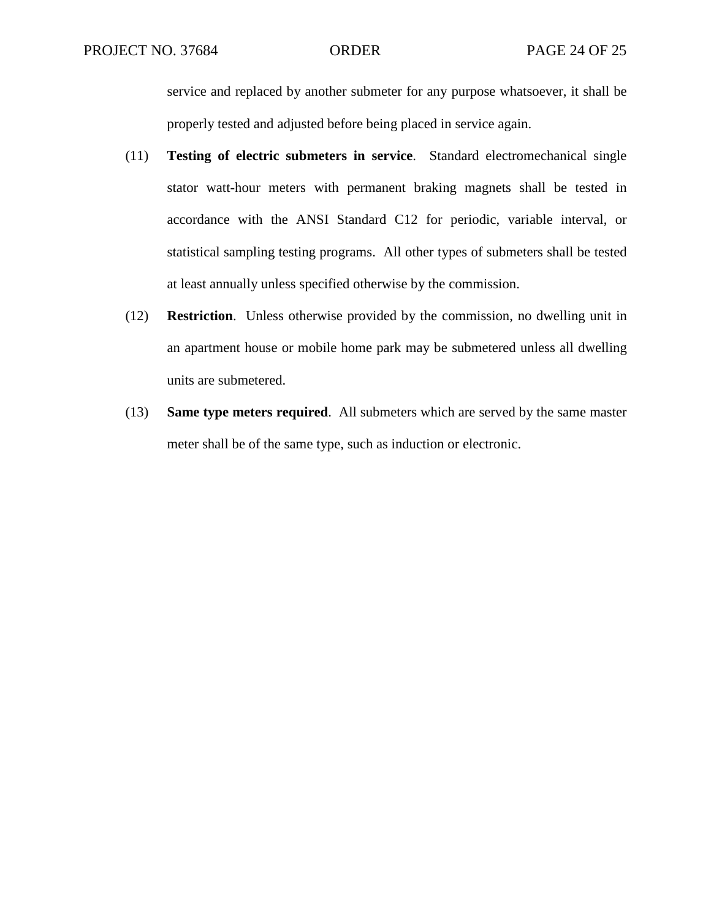service and replaced by another submeter for any purpose whatsoever, it shall be properly tested and adjusted before being placed in service again.

- (11) **Testing of electric submeters in service**. Standard electromechanical single stator watt-hour meters with permanent braking magnets shall be tested in accordance with the ANSI Standard C12 for periodic, variable interval, or statistical sampling testing programs. All other types of submeters shall be tested at least annually unless specified otherwise by the commission.
- (12) **Restriction**. Unless otherwise provided by the commission, no dwelling unit in an apartment house or mobile home park may be submetered unless all dwelling units are submetered.
- (13) **Same type meters required**. All submeters which are served by the same master meter shall be of the same type, such as induction or electronic.